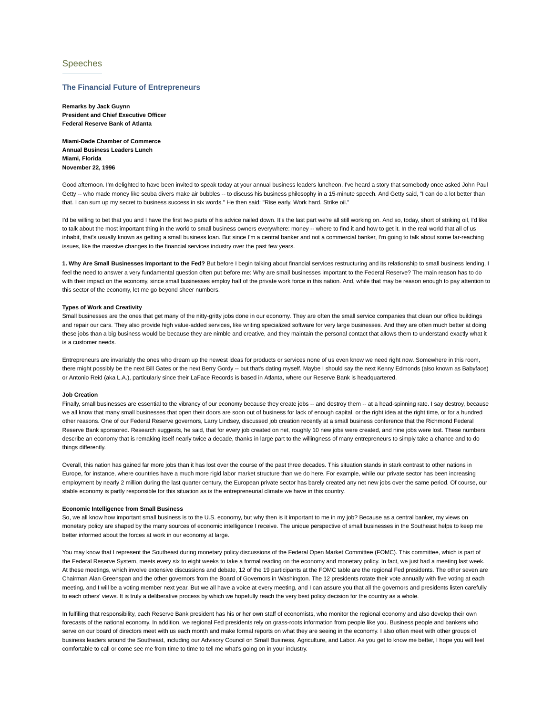# Speeches

## **The Financial Future of Entrepreneurs**

**Remarks by Jack Guynn President and Chief Executive Officer Federal Reserve Bank of Atlanta**

**Miami-Dade Chamber of Commerce Annual Business Leaders Lunch Miami, Florida November 22, 1996**

Good afternoon. I'm delighted to have been invited to speak today at your annual business leaders luncheon. I've heard a story that somebody once asked John Paul Getty -- who made money like scuba divers make air bubbles -- to discuss his business philosophy in a 15-minute speech. And Getty said, "I can do a lot better than that. I can sum up my secret to business success in six words." He then said: "Rise early. Work hard. Strike oil."

I'd be willing to bet that you and I have the first two parts of his advice nailed down. It's the last part we're all still working on. And so, today, short of striking oil, I'd like to talk about the most important thing in the world to small business owners everywhere: money -- where to find it and how to get it. In the real world that all of us inhabit, that's usually known as getting a small business loan. But since I'm a central banker and not a commercial banker, I'm going to talk about some far-reaching issues, like the massive changes to the financial services industry over the past few years.

**1. Why Are Small Businesses Important to the Fed?** But before I begin talking about financial services restructuring and its relationship to small business lending, I feel the need to answer a very fundamental question often put before me: Why are small businesses important to the Federal Reserve? The main reason has to do with their impact on the economy, since small businesses employ half of the private work force in this nation. And, while that may be reason enough to pay attention to this sector of the economy, let me go beyond sheer numbers.

### **Types of Work and Creativity**

Small businesses are the ones that get many of the nitty-gritty jobs done in our economy. They are often the small service companies that clean our office buildings and repair our cars. They also provide high value-added services, like writing specialized software for very large businesses. And they are often much better at doing these jobs than a big business would be because they are nimble and creative, and they maintain the personal contact that allows them to understand exactly what it is a customer needs.

Entrepreneurs are invariably the ones who dream up the newest ideas for products or services none of us even know we need right now. Somewhere in this room, there might possibly be the next Bill Gates or the next Berry Gordy -- but that's dating myself. Maybe I should say the next Kenny Edmonds (also known as Babyface) or Antonio Reid (aka L.A.), particularly since their LaFace Records is based in Atlanta, where our Reserve Bank is headquartered.

#### **Job Creation**

Finally, small businesses are essential to the vibrancy of our economy because they create jobs -- and destroy them -- at a head-spinning rate. I say destroy, because we all know that many small businesses that open their doors are soon out of business for lack of enough capital, or the right idea at the right time, or for a hundred other reasons. One of our Federal Reserve governors, Larry Lindsey, discussed job creation recently at a small business conference that the Richmond Federal Reserve Bank sponsored. Research suggests, he said, that for every job created on net, roughly 10 new jobs were created, and nine jobs were lost. These numbers describe an economy that is remaking itself nearly twice a decade, thanks in large part to the willingness of many entrepreneurs to simply take a chance and to do things differently.

Overall, this nation has gained far more jobs than it has lost over the course of the past three decades. This situation stands in stark contrast to other nations in Europe, for instance, where countries have a much more rigid labor market structure than we do here. For example, while our private sector has been increasing employment by nearly 2 million during the last quarter century, the European private sector has barely created any net new jobs over the same period. Of course, our stable economy is partly responsible for this situation as is the entrepreneurial climate we have in this country.

#### **Economic Intelligence from Small Business**

So, we all know how important small business is to the U.S. economy, but why then is it important to me in my job? Because as a central banker, my views on monetary policy are shaped by the many sources of economic intelligence I receive. The unique perspective of small businesses in the Southeast helps to keep me better informed about the forces at work in our economy at large.

You may know that I represent the Southeast during monetary policy discussions of the Federal Open Market Committee (FOMC). This committee, which is part of the Federal Reserve System, meets every six to eight weeks to take a formal reading on the economy and monetary policy. In fact, we just had a meeting last week. At these meetings, which involve extensive discussions and debate, 12 of the 19 participants at the FOMC table are the regional Fed presidents. The other seven are Chairman Alan Greenspan and the other governors from the Board of Governors in Washington. The 12 presidents rotate their vote annually with five voting at each meeting, and I will be a voting member next year. But we all have a voice at every meeting, and I can assure you that all the governors and presidents listen carefully to each others' views. It is truly a deliberative process by which we hopefully reach the very best policy decision for the country as a whole.

In fulfilling that responsibility, each Reserve Bank president has his or her own staff of economists, who monitor the regional economy and also develop their own forecasts of the national economy. In addition, we regional Fed presidents rely on grass-roots information from people like you. Business people and bankers who serve on our board of directors meet with us each month and make formal reports on what they are seeing in the economy. I also often meet with other groups of business leaders around the Southeast, including our Advisory Council on Small Business, Agriculture, and Labor. As you get to know me better, I hope you will feel comfortable to call or come see me from time to time to tell me what's going on in your industry.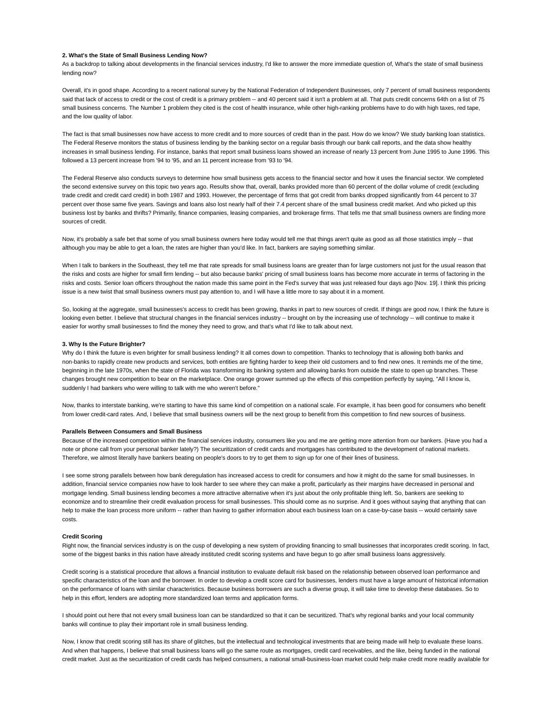# **2. What's the State of Small Business Lending Now?**

As a backdrop to talking about developments in the financial services industry, I'd like to answer the more immediate question of, What's the state of small business lending now?

Overall, it's in good shape. According to a recent national survey by the National Federation of Independent Businesses, only 7 percent of small business respondents said that lack of access to credit or the cost of credit is a primary problem -- and 40 percent said it isn't a problem at all. That puts credit concerns 64th on a list of 75 small business concerns. The Number 1 problem they cited is the cost of health insurance, while other high-ranking problems have to do with high taxes, red tape, and the low quality of labor.

The fact is that small businesses now have access to more credit and to more sources of credit than in the past. How do we know? We study banking loan statistics. The Federal Reserve monitors the status of business lending by the banking sector on a regular basis through our bank call reports, and the data show healthy increases in small business lending. For instance, banks that report small business loans showed an increase of nearly 13 percent from June 1995 to June 1996. This followed a 13 percent increase from '94 to '95, and an 11 percent increase from '93 to '94.

The Federal Reserve also conducts surveys to determine how small business gets access to the financial sector and how it uses the financial sector. We completed the second extensive survey on this topic two years ago. Results show that, overall, banks provided more than 60 percent of the dollar volume of credit (excluding trade credit and credit card credit) in both 1987 and 1993. However, the percentage of firms that got credit from banks dropped significantly from 44 percent to 37 percent over those same five years. Savings and loans also lost nearly half of their 7.4 percent share of the small business credit market. And who picked up this business lost by banks and thrifts? Primarily, finance companies, leasing companies, and brokerage firms. That tells me that small business owners are finding more sources of credit.

Now, it's probably a safe bet that some of you small business owners here today would tell me that things aren't quite as good as all those statistics imply -- that although you may be able to get a loan, the rates are higher than you'd like. In fact, bankers are saying something similar.

When I talk to bankers in the Southeast, they tell me that rate spreads for small business loans are greater than for large customers not just for the usual reason that the risks and costs are higher for small firm lending -- but also because banks' pricing of small business loans has become more accurate in terms of factoring in the risks and costs. Senior loan officers throughout the nation made this same point in the Fed's survey that was just released four days ago [Nov. 19]. I think this pricing issue is a new twist that small business owners must pay attention to, and I will have a little more to say about it in a moment.

So, looking at the aggregate, small businesses's access to credit has been growing, thanks in part to new sources of credit. If things are good now, I think the future is looking even better. I believe that structural changes in the financial services industry -- brought on by the increasing use of technology -- will continue to make it easier for worthy small businesses to find the money they need to grow, and that's what I'd like to talk about next.

#### **3. Why Is the Future Brighter?**

Why do I think the future is even brighter for small business lending? It all comes down to competition. Thanks to technology that is allowing both banks and non-banks to rapidly create new products and services, both entities are fighting harder to keep their old customers and to find new ones. It reminds me of the time, beginning in the late 1970s, when the state of Florida was transforming its banking system and allowing banks from outside the state to open up branches. These changes brought new competition to bear on the marketplace. One orange grower summed up the effects of this competition perfectly by saying, "All I know is, suddenly I had bankers who were willing to talk with me who weren't before."

Now, thanks to interstate banking, we're starting to have this same kind of competition on a national scale. For example, it has been good for consumers who benefit from lower credit-card rates. And, I believe that small business owners will be the next group to benefit from this competition to find new sources of business.

#### **Parallels Between Consumers and Small Business**

Because of the increased competition within the financial services industry, consumers like you and me are getting more attention from our bankers. (Have you had a note or phone call from your personal banker lately?) The securitization of credit cards and mortgages has contributed to the development of national markets. Therefore, we almost literally have bankers beating on people's doors to try to get them to sign up for one of their lines of business.

I see some strong parallels between how bank deregulation has increased access to credit for consumers and how it might do the same for small businesses. In addition, financial service companies now have to look harder to see where they can make a profit, particularly as their margins have decreased in personal and mortgage lending. Small business lending becomes a more attractive alternative when it's just about the only profitable thing left. So, bankers are seeking to economize and to streamline their credit evaluation process for small businesses. This should come as no surprise. And it goes without saying that anything that can help to make the loan process more uniform -- rather than having to gather information about each business loan on a case-by-case basis -- would certainly save costs.

### **Credit Scoring**

Right now, the financial services industry is on the cusp of developing a new system of providing financing to small businesses that incorporates credit scoring. In fact, some of the biggest banks in this nation have already instituted credit scoring systems and have begun to go after small business loans aggressively.

Credit scoring is a statistical procedure that allows a financial institution to evaluate default risk based on the relationship between observed loan performance and specific characteristics of the loan and the borrower. In order to develop a credit score card for businesses, lenders must have a large amount of historical information on the performance of loans with similar characteristics. Because business borrowers are such a diverse group, it will take time to develop these databases. So to help in this effort, lenders are adopting more standardized loan terms and application forms.

I should point out here that not every small business loan can be standardized so that it can be securitized. That's why regional banks and your local community banks will continue to play their important role in small business lending.

Now, I know that credit scoring still has its share of glitches, but the intellectual and technological investments that are being made will help to evaluate these loans. And when that happens, I believe that small business loans will go the same route as mortgages, credit card receivables, and the like, being funded in the national credit market. Just as the securitization of credit cards has helped consumers, a national small-business-loan market could help make credit more readily available for